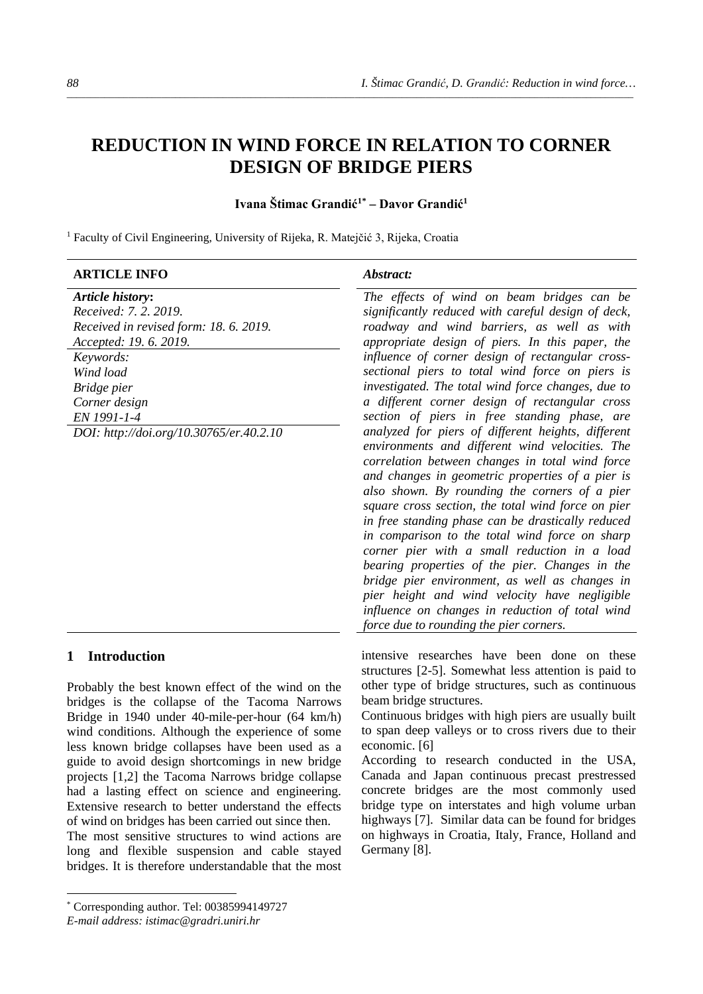# **REDUCTION IN WIND FORCE IN RELATION TO CORNER DESIGN OF BRIDGE PIERS**

*\_\_\_\_\_\_\_\_\_\_\_\_\_\_\_\_\_\_\_\_\_\_\_\_\_\_\_\_\_\_\_\_\_\_\_\_\_\_\_\_\_\_\_\_\_\_\_\_\_\_\_\_\_\_\_\_\_\_\_\_\_\_\_\_\_\_\_\_\_\_\_\_\_\_\_\_\_\_\_\_\_\_\_\_\_\_\_\_\_\_\_\_\_\_\_\_\_\_\_\_\_\_\_\_\_\_\_\_\_\_\_\_\_\_\_\_\_\_\_\_*

# **Ivana Štimac Grandić1[\\*](#page-0-0) – Davor Grandić<sup>1</sup>**

<sup>1</sup> Faculty of Civil Engineering, University of Rijeka, R. Matejčić 3, Rijeka, Croatia

| Abstract:                                                                                                                                                                                                                                                                                                                                                                                                                                                                                                                                                                                                                                                                                                                                                                                                                                                                                                                                                                                                                                                                                                                                                                                         |
|---------------------------------------------------------------------------------------------------------------------------------------------------------------------------------------------------------------------------------------------------------------------------------------------------------------------------------------------------------------------------------------------------------------------------------------------------------------------------------------------------------------------------------------------------------------------------------------------------------------------------------------------------------------------------------------------------------------------------------------------------------------------------------------------------------------------------------------------------------------------------------------------------------------------------------------------------------------------------------------------------------------------------------------------------------------------------------------------------------------------------------------------------------------------------------------------------|
| The effects of wind on beam bridges can be<br>significantly reduced with careful design of deck,<br>roadway and wind barriers, as well as with<br>appropriate design of piers. In this paper, the<br>influence of corner design of rectangular cross-<br>sectional piers to total wind force on piers is<br>investigated. The total wind force changes, due to<br>a different corner design of rectangular cross<br>section of piers in free standing phase, are<br>analyzed for piers of different heights, different<br>environments and different wind velocities. The<br>correlation between changes in total wind force<br>and changes in geometric properties of a pier is<br>also shown. By rounding the corners of a pier<br>square cross section, the total wind force on pier<br>in free standing phase can be drastically reduced<br>in comparison to the total wind force on sharp<br>corner pier with a small reduction in a load<br>bearing properties of the pier. Changes in the<br>bridge pier environment, as well as changes in<br>pier height and wind velocity have negligible<br>influence on changes in reduction of total wind<br>force due to rounding the pier corners. |
| intensive researches have been done on these<br>structures [2-5]. Somewhat less attention is paid to<br>other type of bridge structures, such as continuous                                                                                                                                                                                                                                                                                                                                                                                                                                                                                                                                                                                                                                                                                                                                                                                                                                                                                                                                                                                                                                       |
|                                                                                                                                                                                                                                                                                                                                                                                                                                                                                                                                                                                                                                                                                                                                                                                                                                                                                                                                                                                                                                                                                                                                                                                                   |

beam bridge structures.

economic. [6]

Germany [8].

Continuous bridges with high piers are usually built to span deep valleys or to cross rivers due to their

According to research conducted in the USA, Canada and Japan continuous precast prestressed concrete bridges are the most commonly used bridge type on interstates and high volume urban highways [7]. Similar data can be found for bridges on highways in Croatia, Italy, France, Holland and

Probably the best known effect of the wind on the bridges is the collapse of the Tacoma Narrows Bridge in 1940 under 40-mile-per-hour (64 km/h) wind conditions. Although the experience of some less known bridge collapses have been used as a guide to avoid design shortcomings in new bridge projects [1,2] the Tacoma Narrows bridge collapse had a lasting effect on science and engineering. Extensive research to better understand the effects of wind on bridges has been carried out since then.

The most sensitive structures to wind actions are long and flexible suspension and cable stayed bridges. It is therefore understandable that the most

<span id="page-0-0"></span><sup>\*</sup> Corresponding author. Tel: 00385994149727

*E-mail address: istimac@gradri.uniri.hr*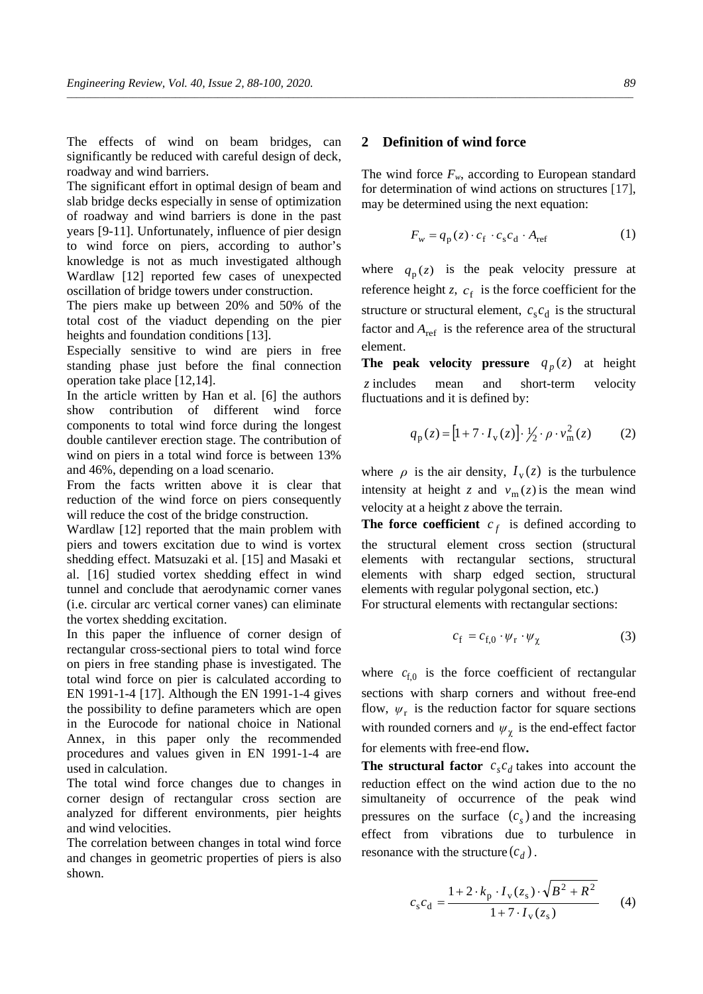The effects of wind on beam bridges, can significantly be reduced with careful design of deck, roadway and wind barriers.

The significant effort in optimal design of beam and slab bridge decks especially in sense of optimization of roadway and wind barriers is done in the past years [9-11]. Unfortunately, influence of pier design to wind force on piers, according to author's knowledge is not as much investigated although Wardlaw [12] reported few cases of unexpected oscillation of bridge towers under construction.

The piers make up between 20% and 50% of the total cost of the viaduct depending on the pier heights and foundation conditions [13].

Especially sensitive to wind are piers in free standing phase just before the final connection operation take place [12,14].

In the article written by Han et al. [6] the authors show contribution of different wind force components to total wind force during the longest double cantilever erection stage. The contribution of wind on piers in a total wind force is between 13% and 46%, depending on a load scenario.

From the facts written above it is clear that reduction of the wind force on piers consequently will reduce the cost of the bridge construction.

Wardlaw [12] reported that the main problem with piers and towers excitation due to wind is vortex shedding effect. Matsuzaki et al. [15] and Masaki et al. [16] studied vortex shedding effect in wind tunnel and conclude that aerodynamic corner vanes (i.e. circular arc vertical corner vanes) can eliminate the vortex shedding excitation.

In this paper the influence of corner design of rectangular cross-sectional piers to total wind force on piers in free standing phase is investigated. The total wind force on pier is calculated according to EN 1991-1-4 [17]. Although the EN 1991-1-4 gives the possibility to define parameters which are open in the Eurocode for national choice in National Annex, in this paper only the recommended procedures and values given in EN 1991-1-4 are used in calculation.

The total wind force changes due to changes in corner design of rectangular cross section are analyzed for different environments, pier heights and wind velocities.

The correlation between changes in total wind force and changes in geometric properties of piers is also shown.

#### **2 Definition of wind force**

*\_\_\_\_\_\_\_\_\_\_\_\_\_\_\_\_\_\_\_\_\_\_\_\_\_\_\_\_\_\_\_\_\_\_\_\_\_\_\_\_\_\_\_\_\_\_\_\_\_\_\_\_\_\_\_\_\_\_\_\_\_\_\_\_\_\_\_\_\_\_\_\_\_\_\_\_\_\_\_\_\_\_\_\_\_\_\_\_\_\_\_\_\_\_\_\_\_\_\_\_\_\_\_\_\_\_\_\_\_\_\_\_\_\_\_\_\_\_\_\_*

The wind force  $F_w$ , according to European standard for determination of wind actions on structures [17], may be determined using the next equation:

$$
F_w = q_p(z) \cdot c_f \cdot c_s c_d \cdot A_{\text{ref}} \tag{1}
$$

where  $q_p(z)$  is the peak velocity pressure at reference height *z*,  $c_f$  is the force coefficient for the structure or structural element,  $c_s c_d$  is the structural factor and  $A_{ref}$  is the reference area of the structural element.

**The peak velocity pressure**  $q_p(z)$  at height *z* includes mean and short-term velocity fluctuations and it is defined by:

$$
q_p(z) = [1 + 7 \cdot I_v(z)] \cdot \frac{1}{2} \cdot \rho \cdot v_m^2(z) \tag{2}
$$

where  $\rho$  is the air density,  $I_v(z)$  is the turbulence intensity at height *z* and  $v_m(z)$  is the mean wind velocity at a height *z* above the terrain.

**The force coefficient**  $c_f$  is defined according to the structural element cross section (structural elements with rectangular sections, structural elements with sharp edged section, structural elements with regular polygonal section, etc.)

For structural elements with rectangular sections:

$$
c_{\rm f} = c_{\rm f,0} \cdot \psi_{\rm r} \cdot \psi_{\chi} \tag{3}
$$

where  $c_{f,0}$  is the force coefficient of rectangular sections with sharp corners and without free-end flow,  $\psi_r$  is the reduction factor for square sections with rounded corners and  $\psi_{\gamma}$  is the end-effect factor for elements with free-end flow**.**

**The structural factor**  $c_s c_d$  takes into account the reduction effect on the wind action due to the no simultaneity of occurrence of the peak wind pressures on the surface  $(c<sub>s</sub>)$  and the increasing effect from vibrations due to turbulence in resonance with the structure  $(c_d)$ .

$$
c_{s}c_{d} = \frac{1 + 2 \cdot k_{p} \cdot I_{v}(z_{s}) \cdot \sqrt{B^{2} + R^{2}}}{1 + 7 \cdot I_{v}(z_{s})}
$$
 (4)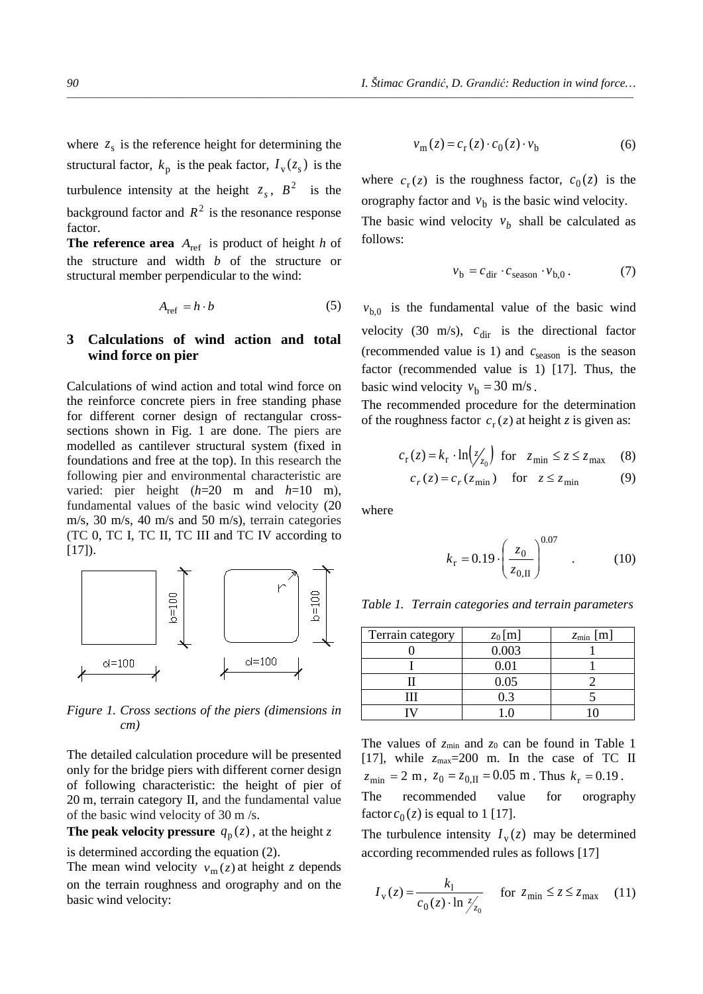where  $z<sub>s</sub>$  is the reference height for determining the structural factor,  $k_p$  is the peak factor,  $I_v(z_s)$  is the turbulence intensity at the height  $z_s$ ,  $B^2$  is the background factor and  $R^2$  is the resonance response factor.

**The reference area**  $A_{ref}$  is product of height *h* of the structure and width *b* of the structure or structural member perpendicular to the wind:

$$
A_{\text{ref}} = h \cdot b \tag{5}
$$

## **3 Calculations of wind action and total wind force on pier**

Calculations of wind action and total wind force on the reinforce concrete piers in free standing phase for different corner design of rectangular crosssections shown in Fig. 1 are done. The piers are modelled as cantilever structural system (fixed in foundations and free at the top). In this research the following pier and environmental characteristic are varied: pier height (*h*=20 m and *h*=10 m), fundamental values of the basic wind velocity (20 m/s, 30 m/s, 40 m/s and 50 m/s), terrain categories (TC 0, TC I, TC II, TC III and TC IV according to  $[17]$ ).



*Figure 1. Cross sections of the piers (dimensions in cm)*

The detailed calculation procedure will be presented only for the bridge piers with different corner design of following characteristic: the height of pier of 20 m, terrain category II, and the fundamental value of the basic wind velocity of 30 m /s.

**The peak velocity pressure**  $q_p(z)$ , at the height z

is determined according the equation (2).

The mean wind velocity  $v_m(z)$  at height *z* depends on the terrain roughness and orography and on the basic wind velocity:

$$
v_{\rm m}(z) = c_{\rm r}(z) \cdot c_0(z) \cdot v_{\rm b} \tag{6}
$$

where  $c_r(z)$  is the roughness factor,  $c_0(z)$  is the orography factor and  $v<sub>b</sub>$  is the basic wind velocity.

The basic wind velocity  $v<sub>b</sub>$  shall be calculated as follows:

$$
v_{\rm b} = c_{\rm dir} \cdot c_{\rm season} \cdot v_{\rm b,0} \,. \tag{7}
$$

 $v_{b,0}$  is the fundamental value of the basic wind velocity (30 m/s),  $c_{\text{dir}}$  is the directional factor (recommended value is 1) and  $c_{\text{season}}$  is the season factor (recommended value is 1) [17]. Thus, the basic wind velocity  $v_b = 30$  m/s.

The recommended procedure for the determination of the roughness factor  $c_r(z)$  at height *z* is given as:

$$
c_{\rm r}(z) = k_{\rm r} \cdot \ln \left( \frac{z}{z_0} \right) \text{ for } z_{\rm min} \le z \le z_{\rm max} \quad (8)
$$

$$
c_r(z) = c_r(z_{\min}) \quad \text{for} \quad z \le z_{\min} \tag{9}
$$

where

*\_\_\_\_\_\_\_\_\_\_\_\_\_\_\_\_\_\_\_\_\_\_\_\_\_\_\_\_\_\_\_\_\_\_\_\_\_\_\_\_\_\_\_\_\_\_\_\_\_\_\_\_\_\_\_\_\_\_\_\_\_\_\_\_\_\_\_\_\_\_\_\_\_\_\_\_\_\_\_\_\_\_\_\_\_\_\_\_\_\_\_\_\_\_\_\_\_\_\_\_\_\_\_\_\_\_\_\_\_\_\_\_\_\_\_\_\_\_\_\_*

$$
k_{\rm r} = 0.19 \cdot \left(\frac{z_0}{z_{0,\rm II}}\right)^{0.07} \quad . \tag{10}
$$

*Table 1. Terrain categories and terrain parameters* 

| Terrain category | $z_0$ [m] | $z_{\min}$ [m] |
|------------------|-----------|----------------|
|                  | 0.003     |                |
|                  | 0.01      |                |
|                  | 0.05      |                |
| Ш                | 0.3       |                |
|                  |           |                |

The values of  $z_{\text{min}}$  and  $z_0$  can be found in Table 1 [17], while *z*max=200 m. In the case of TC II  $z_{\text{min}} = 2 \text{ m}, z_0 = z_{0,\text{II}} = 0.05 \text{ m}.$  Thus  $k_r = 0.19$ .

The recommended value for orography factor  $c_0(z)$  is equal to 1 [17].

The turbulence intensity  $I_v(z)$  may be determined according recommended rules as follows [17]

$$
I_{\rm v}(z) = \frac{k_1}{c_0(z) \cdot \ln \frac{z}{z_0}} \quad \text{for } z_{\rm min} \le z \le z_{\rm max} \quad (11)
$$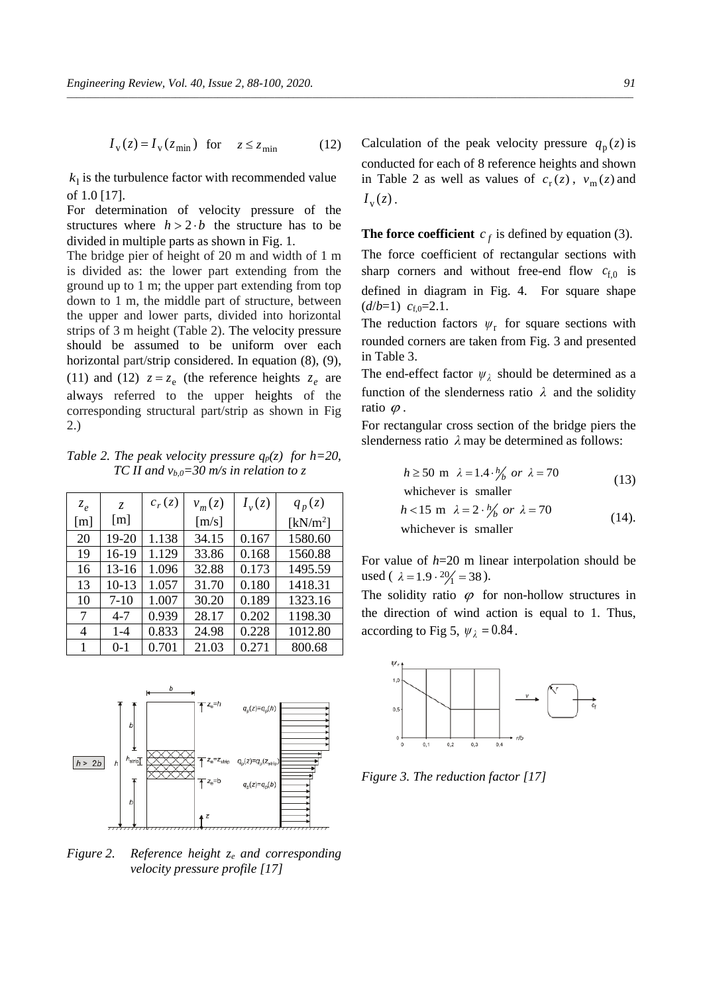$(d/b=1)$   $c_{f,0}=2.1$ .

 $k_1$  is the turbulence factor with recommended value of 1.0 [17].

For determination of velocity pressure of the structures where  $h > 2 \cdot b$  the structure has to be divided in multiple parts as shown in Fig. 1.

The bridge pier of height of 20 m and width of 1 m is divided as: the lower part extending from the ground up to 1 m; the upper part extending from top down to 1 m, the middle part of structure, between the upper and lower parts, divided into horizontal strips of 3 m height (Table 2). The velocity pressure should be assumed to be uniform over each horizontal part/strip considered. In equation  $(8)$ ,  $(9)$ , (11) and (12)  $z = z_e$  (the reference heights  $z_e$  are always referred to the upper heights of the corresponding structural part/strip as shown in Fig 2.)

*Table 2. The peak velocity pressure*  $q_p(z)$  *for h*=20, *TC II and vb,0=30 m/s in relation to z*

| $z_e$             | $\mathcal{Z}$ | $c_r(z)$ | $v_m(z)$ | $I_{\nu}(z)$ | $q_p(z)$             |
|-------------------|---------------|----------|----------|--------------|----------------------|
| $\lceil m \rceil$ | [m]           |          | [m/s]    |              | [kN/m <sup>2</sup> ] |
| 20                | 19-20         | 1.138    | 34.15    | 0.167        | 1580.60              |
| 19                | 16-19         | 1.129    | 33.86    | 0.168        | 1560.88              |
| 16                | 13-16         | 1.096    | 32.88    | 0.173        | 1495.59              |
| 13                | $10-13$       | 1.057    | 31.70    | 0.180        | 1418.31              |
| 10                | $7 - 10$      | 1.007    | 30.20    | 0.189        | 1323.16              |
| 7                 | $4 - 7$       | 0.939    | 28.17    | 0.202        | 1198.30              |
| 4                 | $1 - 4$       | 0.833    | 24.98    | 0.228        | 1012.80              |
|                   | $0 - 1$       | 0.701    | 21.03    | 0.271        | 800.68               |



*Figure 2. Reference height ze and corresponding velocity pressure profile [17]*

Calculation of the peak velocity pressure  $q_p(z)$  is conducted for each of 8 reference heights and shown in Table 2 as well as values of  $c_r(z)$ ,  $v_m(z)$  and  $I_{\rm v}(z)$ .

**The force coefficient**  $c_f$  is defined by equation (3). The force coefficient of rectangular sections with sharp corners and without free-end flow  $c_{f,0}$  is defined in diagram in Fig. 4. For square shape

The reduction factors  $\psi_r$  for square sections with rounded corners are taken from Fig. 3 and presented in Table 3.

The end-effect factor  $\psi_{\lambda}$  should be determined as a function of the slenderness ratio  $\lambda$  and the solidity ratio  $\varphi$ .

For rectangular cross section of the bridge piers the slenderness ratio  $\lambda$  may be determined as follows:

$$
h \ge 50 \text{ m } \lambda = 1.4 \cdot \frac{h}{b} \text{ or } \lambda = 70
$$
\nwhichever is smaller

\n
$$
h < 15 \text{ m } \lambda = 2 \cdot \frac{h}{b} \text{ or } \lambda = 70
$$
\nwhichever is smaller

\n(14).

For value of *h*=20 m linear interpolation should be used (  $\lambda = 1.9 \cdot \frac{20}{1} = 38$  ).

The solidity ratio  $\varphi$  for non-hollow structures in the direction of wind action is equal to 1. Thus, according to Fig 5,  $\psi_1 = 0.84$ .



*Figure 3. The reduction factor [17]*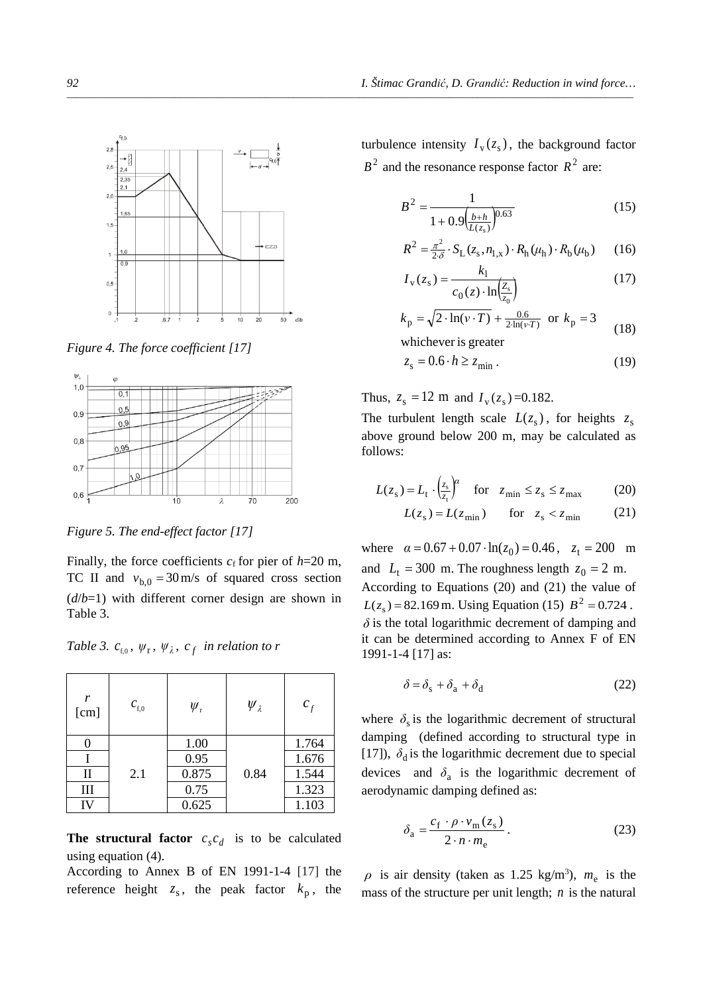

*Figure 4. The force coefficient [17]*



*Figure 5. The end-effect factor [17]*

Finally, the force coefficients  $c_f$  for pier of  $h=20$  m, TC II and  $v_{b,0} = 30 \text{ m/s}$  of squared cross section (*d*/*b*=1) with different corner design are shown in Table 3.

*Table 3.*  $c_{f,0}$ ,  $\psi_{r}$ ,  $\psi_{\lambda}$ ,  $c_{f}$  *in relation to r* 

| r<br>[cm]    | $c_{\rm f,0}$ | $\psi_{\rm r}$ | $\psi_{\lambda}$ | $c_f$ |
|--------------|---------------|----------------|------------------|-------|
| 0            |               | 1.00           |                  | 1.764 |
|              |               | 0.95           |                  | 1.676 |
| $\mathbf{I}$ | 2.1           | 0.875          | 0.84             | 1.544 |
| III          |               | 0.75           |                  | 1.323 |
| IV           |               | 0.625          |                  | 1.103 |

**The structural factor**  $c_s c_d$  is to be calculated using equation (4).

According to Annex B of EN 1991-1-4 [17] the reference height  $z_s$ , the peak factor  $k_p$ , the turbulence intensity  $I_{\rm v}(z_{\rm s})$ , the background factor  $B<sup>2</sup>$  and the resonance response factor  $R<sup>2</sup>$  are:

$$
B^{2} = \frac{1}{1 + 0.9\left(\frac{b+h}{L(z_{s})}\right)^{0.63}}
$$
(15)

$$
R^{2} = \frac{\pi^{2}}{2\delta} \cdot S_{L}(z_{s}, n_{1,x}) \cdot R_{h}(\mu_{h}) \cdot R_{b}(\mu_{b})
$$
 (16)

$$
I_{\rm v}(z_{\rm s}) = \frac{k_1}{c_0(z) \cdot \ln\left(\frac{Z_{\rm s}}{z_0}\right)}\tag{17}
$$

$$
k_{\rm p} = \sqrt{2 \cdot \ln(v \cdot T)} + \frac{0.6}{2 \ln(v \cdot T)} \text{ or } k_{\rm p} = 3
$$
 (18)

whichever is greater

$$
z_{\rm s} = 0.6 \cdot h \ge z_{\rm min} \,. \tag{19}
$$

Thus,  $z_s = 12$  m and  $I_v(z_s) = 0.182$ .

The turbulent length scale  $L(z_s)$ , for heights  $z_s$ above ground below 200 m, may be calculated as follows:

$$
L(z_s) = L_t \cdot \left(\frac{z_s}{z_t}\right)^\alpha \quad \text{for} \quad z_{\text{min}} \le z_s \le z_{\text{max}} \tag{20}
$$

$$
L(zs) = L(zmin) \qquad \text{for} \quad zs < zmin \tag{21}
$$

where  $\alpha = 0.67 + 0.07 \cdot \ln(z_0) = 0.46$ ,  $z_t = 200$  m and  $L_t = 300$  m. The roughness length  $z_0 = 2$  m. According to Equations (20) and (21) the value of  $L(z_s) = 82.169$  m. Using Equation (15)  $B^2 = 0.724$ .  $\delta$  is the total logarithmic decrement of damping and it can be determined according to Annex F of EN 1991-1-4 [17] as:

$$
\delta = \delta_{\rm s} + \delta_{\rm a} + \delta_{\rm d} \tag{22}
$$

where  $\delta_s$  is the logarithmic decrement of structural damping (defined according to structural type in [17]),  $\delta_d$  is the logarithmic decrement due to special devices and  $\delta_a$  is the logarithmic decrement of aerodynamic damping defined as:

$$
\delta_{\rm a} = \frac{c_{\rm f} \cdot \rho \cdot v_{\rm m}(z_{\rm s})}{2 \cdot n \cdot m_{\rm e}}.
$$
\n(23)

 $\rho$  is air density (taken as 1.25 kg/m<sup>3</sup>),  $m_e$  is the mass of the structure per unit length; *n* is the natural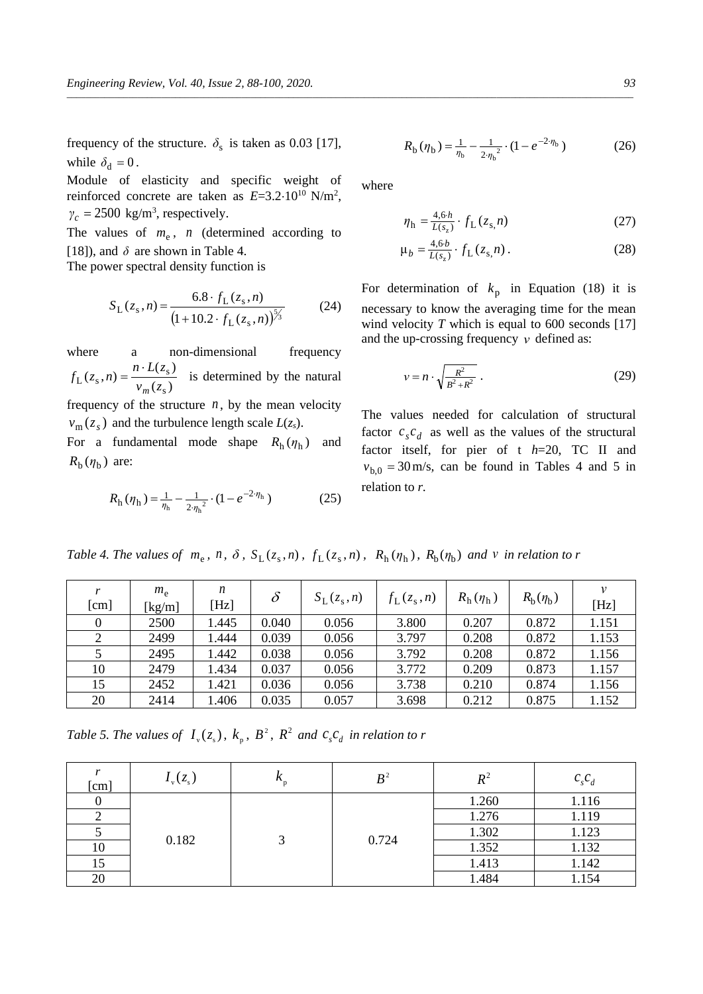frequency of the structure.  $\delta_s$  is taken as 0.03 [17], while  $\delta_d = 0$ .

Module of elasticity and specific weight of reinforced concrete are taken as  $E=3.2 \cdot 10^{10} \text{ N/m}^2$ ,  $\gamma_c = 2500 \text{ kg/m}^3$ , respectively.

The values of  $m_e$ ,  $n$  (determined according to [18]), and  $\delta$  are shown in Table 4.

The power spectral density function is

$$
S_{\text{L}}(z_{\text{s}}, n) = \frac{6.8 \cdot f_{\text{L}}(z_{\text{s}}, n)}{\left(1 + 10.2 \cdot f_{\text{L}}(z_{\text{s}}, n)\right)^{\frac{5}{3}}}
$$
(24)

where a non-dimensional frequency  $(z_{\rm s})$  $(z_{\rm s}, n) = \frac{n \cdot L(z_{\rm s})}{\sqrt{2\pi}}$  $f_{\rm L}(z_{\rm s}, n) = \frac{n \cdot L(z_{\rm s})}{v_{m}(z_{\rm s})}$ *m*  $=\frac{n \cdot L(z_s)}{2}$  is determined by the natural frequency of the structure  $n$ , by the mean velocity  $v_m(z_s)$  and the turbulence length scale  $L(z_s)$ .

For a fundamental mode shape  $R_h(\eta_h)$  and  $R<sub>b</sub>(\eta<sub>b</sub>)$  are:

$$
R_{\rm h}(\eta_{\rm h}) = \frac{1}{\eta_{\rm h}} - \frac{1}{2\eta_{\rm h}^2} \cdot (1 - e^{-2\eta_{\rm h}})
$$
 (25)

$$
R_{\rm b}(\eta_{\rm b}) = \frac{1}{\eta_{\rm b}} - \frac{1}{2\eta_{\rm b}^2} \cdot (1 - e^{-2\eta_{\rm b}})
$$
 (26)

where

*\_\_\_\_\_\_\_\_\_\_\_\_\_\_\_\_\_\_\_\_\_\_\_\_\_\_\_\_\_\_\_\_\_\_\_\_\_\_\_\_\_\_\_\_\_\_\_\_\_\_\_\_\_\_\_\_\_\_\_\_\_\_\_\_\_\_\_\_\_\_\_\_\_\_\_\_\_\_\_\_\_\_\_\_\_\_\_\_\_\_\_\_\_\_\_\_\_\_\_\_\_\_\_\_\_\_\_\_\_\_\_\_\_\_\_\_\_\_\_\_*

$$
\eta_{\rm h} = \frac{4, 6 \cdot h}{L(s_z)} \cdot f_{\rm L}(z_{\rm s}, n) \tag{27}
$$

$$
\mu_b = \frac{4.6b}{L(s_2)} \cdot f_L(z_s, n) \,. \tag{28}
$$

For determination of  $k_p$  in Equation (18) it is necessary to know the averaging time for the mean wind velocity *T* which is equal to 600 seconds [17] and the up-crossing frequency *ν* defined as:

$$
v = n \cdot \sqrt{\frac{R^2}{B^2 + R^2}} \,. \tag{29}
$$

The values needed for calculation of structural factor  $c_s c_d$  as well as the values of the structural factor itself, for pier of t *h*=20, TC II and  $v_{b,0} = 30$  m/s, can be found in Tables 4 and 5 in relation to *r.*

Table 4. The values of  $m_e$ ,  $n$ ,  $\delta$ ,  $S_L(z_s, n)$ ,  $f_L(z_s, n)$ ,  $R_h(\eta_h)$ ,  $R_b(\eta_b)$  and v in relation to r

| r<br>[cm] | $m_e$<br>[kg/m] | n<br>[Hz] | $\delta$ | $S_{\rm L}(z_{\rm s},n)$ | $f_{\rm L}(z_{\rm s},n)$ | $R_{\rm h}(\eta_{\rm h})$ | $R_{\rm b}(\eta_{\rm b})$ | ν<br>[Hz] |
|-----------|-----------------|-----------|----------|--------------------------|--------------------------|---------------------------|---------------------------|-----------|
| $\Omega$  | 2500            | 1.445     | 0.040    | 0.056                    | 3.800                    | 0.207                     | 0.872                     | 1.151     |
|           | 2499            | 1.444     | 0.039    | 0.056                    | 3.797                    | 0.208                     | 0.872                     | 1.153     |
|           | 2495            | 1.442     | 0.038    | 0.056                    | 3.792                    | 0.208                     | 0.872                     | 1.156     |
| 10        | 2479            | 1.434     | 0.037    | 0.056                    | 3.772                    | 0.209                     | 0.873                     | 1.157     |
| 15        | 2452            | 1.421     | 0.036    | 0.056                    | 3.738                    | 0.210                     | 0.874                     | 1.156     |
| 20        | 2414            | 1.406     | 0.035    | 0.057                    | 3.698                    | 0.212                     | 0.875                     | 1.152     |

*Table 5. The values of*  $I_{\rm v}(z_{\rm s})$ ,  $k_{\rm p}$ ,  $B^2$ ,  $R^2$  *and*  $c_{\rm s}c_{\rm d}$  *in relation to r* 

| [cm] | $I_{v}(z_{s})$ | $\mathbf{r}_{\rm p}$ | B <sup>2</sup> | $R^{\scriptscriptstyle{2}}$ | $c_s c_d$ |       |
|------|----------------|----------------------|----------------|-----------------------------|-----------|-------|
|      |                |                      |                | 1.260                       | 1.116     |       |
|      |                |                      |                | 1.276                       | 1.119     |       |
|      |                |                      | 0.182<br>0.724 |                             | 1.302     | 1.123 |
| 10   |                |                      |                |                             | 1.352     | 1.132 |
| 15   |                |                      |                | 1.413                       | 1.142     |       |
| 20   |                |                      |                | 1.484                       | 1.154     |       |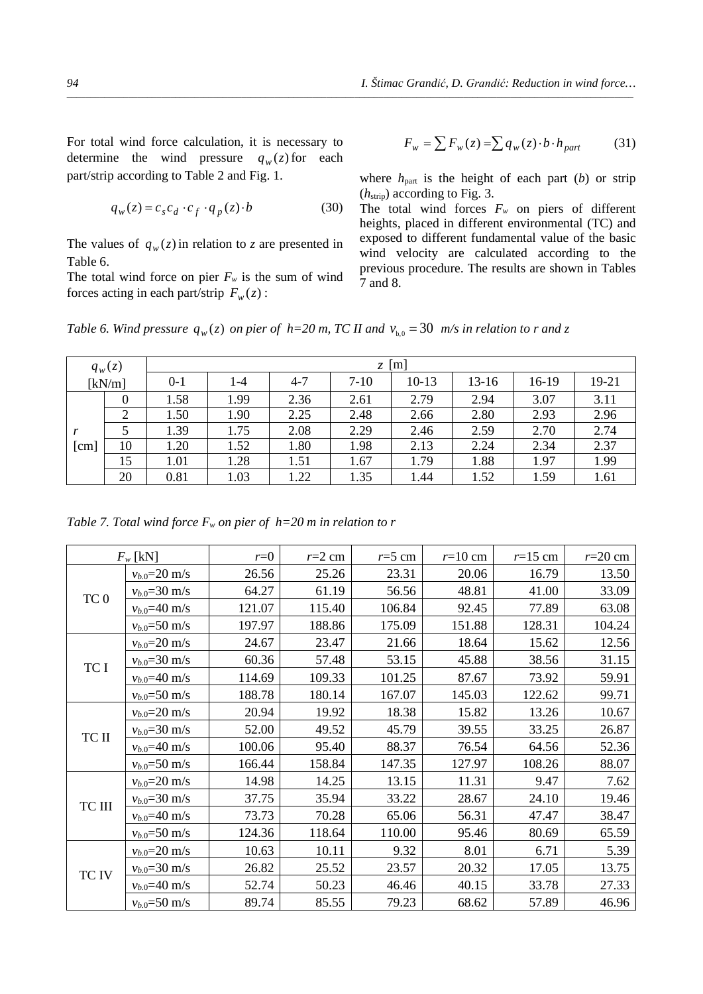For total wind force calculation, it is necessary to determine the wind pressure  $q_w(z)$  for each part/strip according to Table 2 and Fig. 1.

$$
q_w(z) = c_s c_d \cdot c_f \cdot q_p(z) \cdot b \tag{30}
$$

The values of  $q_w(z)$  in relation to *z* are presented in Table 6.

The total wind force on pier  $F_w$  is the sum of wind forces acting in each part/strip  $F_w(z)$ :

$$
F_w = \sum F_w(z) = \sum q_w(z) \cdot b \cdot h_{part} \tag{31}
$$

where  $h_{\text{part}}$  is the height of each part (*b*) or strip (*h*strip) according to Fig. 3.

The total wind forces  $F_w$  on piers of different heights, placed in different environmental (TC) and exposed to different fundamental value of the basic wind velocity are calculated according to the previous procedure. The results are shown in Tables 7 and 8.

*Table 6. Wind pressure*  $q_w(z)$  *on pier of h*=20 *m*, *TC II and*  $v_{b,0} = 30$  *m/s in relation to r and z* 

|                      | $q_w(z)$       | $z \lfloor m \rfloor$ |      |         |        |       |         |       |       |  |
|----------------------|----------------|-----------------------|------|---------|--------|-------|---------|-------|-------|--|
|                      | [kN/m]         | $0 - 1$               | 1-4  | $4 - 7$ | $7-10$ | 10-13 | $13-16$ | 16-19 | 19-21 |  |
|                      | $\Omega$       | 1.58                  | 1.99 | 2.36    | 2.61   | 2.79  | 2.94    | 3.07  | 3.11  |  |
|                      | $\overline{2}$ | 1.50                  | 1.90 | 2.25    | 2.48   | 2.66  | 2.80    | 2.93  | 2.96  |  |
|                      |                | 1.39                  | 1.75 | 2.08    | 2.29   | 2.46  | 2.59    | 2.70  | 2.74  |  |
| $\lceil$ cm $\rceil$ | 10             | 1.20                  | 1.52 | 1.80    | 1.98   | 2.13  | 2.24    | 2.34  | 2.37  |  |
|                      | 15             | 1.01                  | 1.28 | 1.51    | 1.67   | 1.79  | 1.88    | 1.97  | 1.99  |  |
|                      | 20             | 0.81                  | 1.03 | 1.22    | 1.35   | 1.44  | 1.52    | 1.59  | 1.61  |  |

*Table* 7. Total wind force  $F_w$  on pier of  $h=20$  m in relation to r

|                 | $F_w$ [kN]         | $r=0$  | $r=2$ cm | $r=5$ cm | $r=10$ cm | $r=15$ cm | $r=20$ cm |
|-----------------|--------------------|--------|----------|----------|-----------|-----------|-----------|
|                 | $v_{b.0} = 20$ m/s | 26.56  | 25.26    | 23.31    | 20.06     | 16.79     | 13.50     |
|                 | $v_{b.0} = 30$ m/s | 64.27  | 61.19    | 56.56    | 48.81     | 41.00     | 33.09     |
| TC <sub>0</sub> | $v_{b.0} = 40$ m/s | 121.07 | 115.40   | 106.84   | 92.45     | 77.89     | 63.08     |
|                 | $v_{b.0} = 50$ m/s | 197.97 | 188.86   | 175.09   | 151.88    | 128.31    | 104.24    |
|                 | $v_{b.0} = 20$ m/s | 24.67  | 23.47    | 21.66    | 18.64     | 15.62     | 12.56     |
| TC I            | $v_{b.0} = 30$ m/s | 60.36  | 57.48    | 53.15    | 45.88     | 38.56     | 31.15     |
|                 | $v_{b.0} = 40$ m/s | 114.69 | 109.33   | 101.25   | 87.67     | 73.92     | 59.91     |
|                 | $v_{b.0} = 50$ m/s | 188.78 | 180.14   | 167.07   | 145.03    | 122.62    | 99.71     |
|                 | $v_{b.0} = 20$ m/s | 20.94  | 19.92    | 18.38    | 15.82     | 13.26     | 10.67     |
| TC II           | $v_{b.0} = 30$ m/s | 52.00  | 49.52    | 45.79    | 39.55     | 33.25     | 26.87     |
|                 | $v_{b.0} = 40$ m/s | 100.06 | 95.40    | 88.37    | 76.54     | 64.56     | 52.36     |
|                 | $v_{b.0} = 50$ m/s | 166.44 | 158.84   | 147.35   | 127.97    | 108.26    | 88.07     |
|                 | $v_{b.0} = 20$ m/s | 14.98  | 14.25    | 13.15    | 11.31     | 9.47      | 7.62      |
| TC III          | $v_{b.0} = 30$ m/s | 37.75  | 35.94    | 33.22    | 28.67     | 24.10     | 19.46     |
|                 | $v_{b.0} = 40$ m/s | 73.73  | 70.28    | 65.06    | 56.31     | 47.47     | 38.47     |
|                 | $v_{b.0} = 50$ m/s | 124.36 | 118.64   | 110.00   | 95.46     | 80.69     | 65.59     |
|                 | $v_{b.0} = 20$ m/s | 10.63  | 10.11    | 9.32     | 8.01      | 6.71      | 5.39      |
| TC IV           | $v_{b.0} = 30$ m/s | 26.82  | 25.52    | 23.57    | 20.32     | 17.05     | 13.75     |
|                 | $v_{b.0} = 40$ m/s | 52.74  | 50.23    | 46.46    | 40.15     | 33.78     | 27.33     |
|                 | $v_{b.0} = 50$ m/s | 89.74  | 85.55    | 79.23    | 68.62     | 57.89     | 46.96     |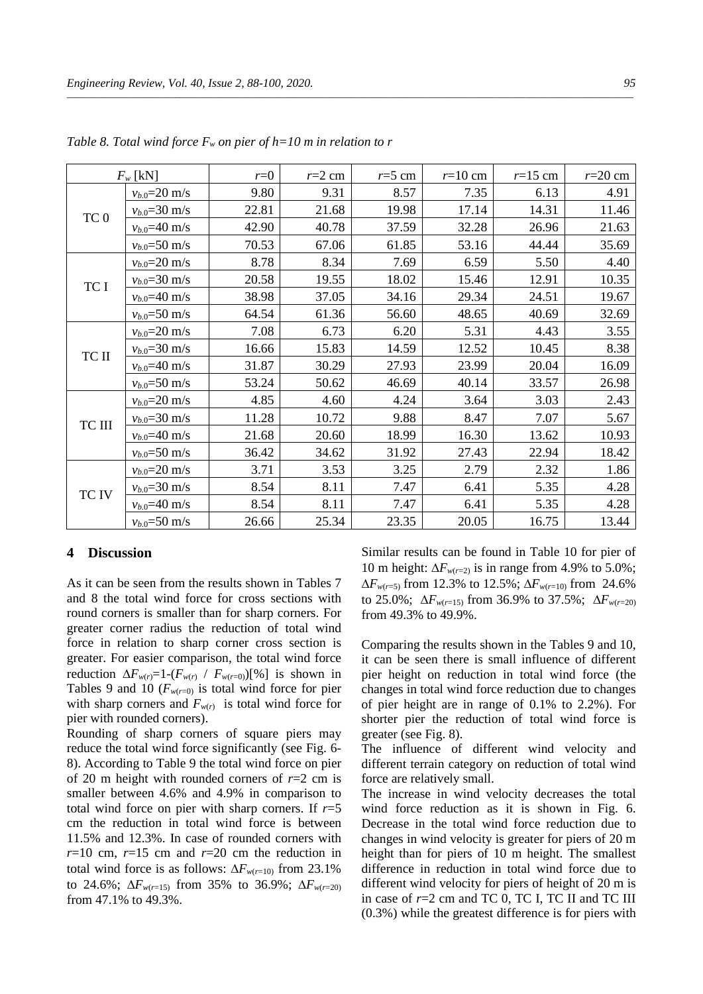|                 | $F_w$ [kN]         | $r=0$ | $r=2$ cm | $r=5$ cm | $r=10$ cm | $r=15$ cm | $r=20$ cm |
|-----------------|--------------------|-------|----------|----------|-----------|-----------|-----------|
|                 | $v_{b.0} = 20$ m/s | 9.80  | 9.31     | 8.57     | 7.35      | 6.13      | 4.91      |
|                 | $v_{b.0} = 30$ m/s | 22.81 | 21.68    | 19.98    | 17.14     | 14.31     | 11.46     |
| TC <sub>0</sub> | $v_{b.0} = 40$ m/s | 42.90 | 40.78    | 37.59    | 32.28     | 26.96     | 21.63     |
|                 | $v_{b.0} = 50$ m/s | 70.53 | 67.06    | 61.85    | 53.16     | 44.44     | 35.69     |
|                 | $v_{b.0} = 20$ m/s | 8.78  | 8.34     | 7.69     | 6.59      | 5.50      | 4.40      |
|                 | $v_{b.0} = 30$ m/s | 20.58 | 19.55    | 18.02    | 15.46     | 12.91     | 10.35     |
| TC I            | $v_{b.0} = 40$ m/s | 38.98 | 37.05    | 34.16    | 29.34     | 24.51     | 19.67     |
|                 | $v_{b.0} = 50$ m/s | 64.54 | 61.36    | 56.60    | 48.65     | 40.69     | 32.69     |
|                 | $v_{b.0} = 20$ m/s | 7.08  | 6.73     | 6.20     | 5.31      | 4.43      | 3.55      |
| TC II           | $v_{b.0} = 30$ m/s | 16.66 | 15.83    | 14.59    | 12.52     | 10.45     | 8.38      |
|                 | $v_{b.0} = 40$ m/s | 31.87 | 30.29    | 27.93    | 23.99     | 20.04     | 16.09     |
|                 | $v_{b.0} = 50$ m/s | 53.24 | 50.62    | 46.69    | 40.14     | 33.57     | 26.98     |
|                 | $v_{b.0} = 20$ m/s | 4.85  | 4.60     | 4.24     | 3.64      | 3.03      | 2.43      |
| TC III          | $v_{b.0} = 30$ m/s | 11.28 | 10.72    | 9.88     | 8.47      | 7.07      | 5.67      |
|                 | $v_{b.0} = 40$ m/s | 21.68 | 20.60    | 18.99    | 16.30     | 13.62     | 10.93     |
|                 | $v_{b.0} = 50$ m/s | 36.42 | 34.62    | 31.92    | 27.43     | 22.94     | 18.42     |
|                 | $v_{b.0} = 20$ m/s | 3.71  | 3.53     | 3.25     | 2.79      | 2.32      | 1.86      |
| <b>TCIV</b>     | $v_{b.0} = 30$ m/s | 8.54  | 8.11     | 7.47     | 6.41      | 5.35      | 4.28      |
|                 | $v_{b.0} = 40$ m/s | 8.54  | 8.11     | 7.47     | 6.41      | 5.35      | 4.28      |
|                 | $v_{b.0} = 50$ m/s | 26.66 | 25.34    | 23.35    | 20.05     | 16.75     | 13.44     |

*Table 8. Total wind force Fw on pier of h=10 m in relation to r*

#### **4 Discussion**

As it can be seen from the results shown in Tables 7 and 8 the total wind force for cross sections with round corners is smaller than for sharp corners. For greater corner radius the reduction of total wind force in relation to sharp corner cross section is greater. For easier comparison, the total wind force reduction  $\Delta F_{w(r)} = 1 - (F_{w(r)} / F_{w(r=0)})[%]$  is shown in Tables 9 and 10 ( $F_{w(r=0)}$  is total wind force for pier with sharp corners and  $F_{w(r)}$  is total wind force for pier with rounded corners).

Rounding of sharp corners of square piers may reduce the total wind force significantly (see Fig. 6- 8). According to Table 9 the total wind force on pier of 20 m height with rounded corners of *r*=2 cm is smaller between 4.6% and 4.9% in comparison to total wind force on pier with sharp corners. If  $r=5$ cm the reduction in total wind force is between 11.5% and 12.3%. In case of rounded corners with  $r=10$  cm,  $r=15$  cm and  $r=20$  cm the reduction in total wind force is as follows:  $\Delta F_{w(r=10)}$  from 23.1% to 24.6%;  $\Delta F_{w(r=15)}$  from 35% to 36.9%;  $\Delta F_{w(r=20)}$ from 47.1% to 49.3%.

Similar results can be found in Table 10 for pier of 10 m height:  $\Delta F_{w(r=2)}$  is in range from 4.9% to 5.0%; ∆*Fw*(*r*=5) from 12.3% to 12.5%; ∆*Fw*(*r*=10) from 24.6% to 25.0%; ∆*Fw*(*r*=15) from 36.9% to 37.5%; ∆*Fw*(*r*=20) from 49.3% to 49.9%.

Comparing the results shown in the Tables 9 and 10, it can be seen there is small influence of different pier height on reduction in total wind force (the changes in total wind force reduction due to changes of pier height are in range of 0.1% to 2.2%). For shorter pier the reduction of total wind force is greater (see Fig. 8).

The influence of different wind velocity and different terrain category on reduction of total wind force are relatively small.

The increase in wind velocity decreases the total wind force reduction as it is shown in Fig. 6. Decrease in the total wind force reduction due to changes in wind velocity is greater for piers of 20 m height than for piers of 10 m height. The smallest difference in reduction in total wind force due to different wind velocity for piers of height of 20 m is in case of *r*=2 cm and TC 0, TC I, TC II and TC III (0.3%) while the greatest difference is for piers with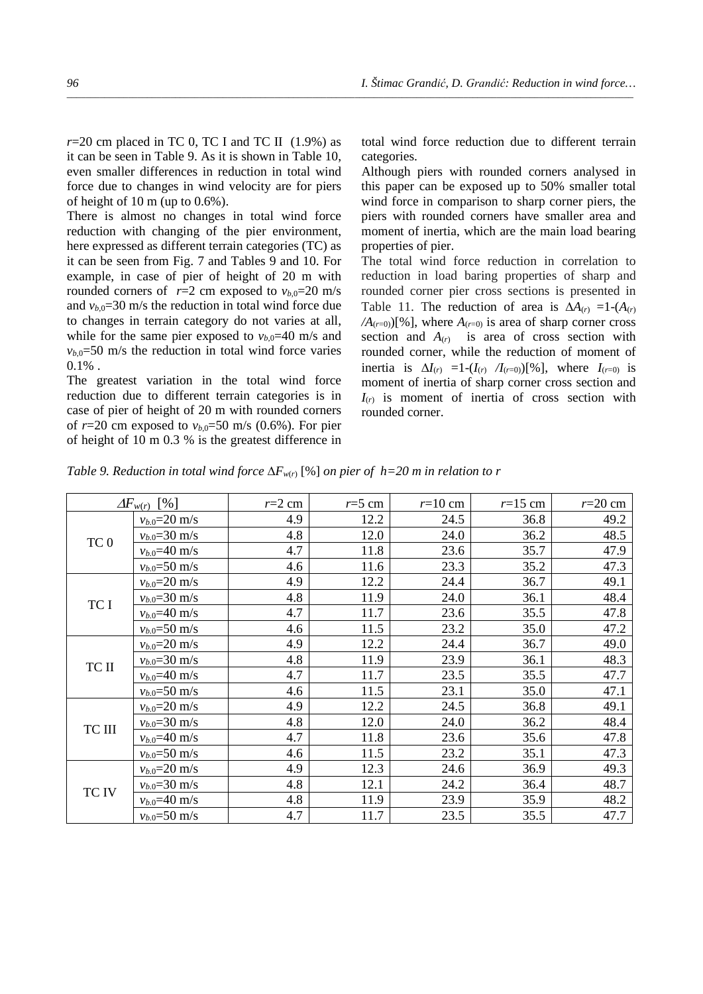$r=20$  cm placed in TC 0, TC I and TC II  $(1.9\%)$  as it can be seen in Table 9. As it is shown in Table 10, even smaller differences in reduction in total wind force due to changes in wind velocity are for piers of height of 10 m (up to 0.6%).

There is almost no changes in total wind force reduction with changing of the pier environment, here expressed as different terrain categories (TC) as it can be seen from Fig. 7 and Tables 9 and 10. For example, in case of pier of height of 20 m with rounded corners of  $r=2$  cm exposed to  $v_{b,0}=20$  m/s and  $v_{b,0}=30$  m/s the reduction in total wind force due to changes in terrain category do not varies at all, while for the same pier exposed to  $v_{b,0}=40$  m/s and  $v_{b,0}=50$  m/s the reduction in total wind force varies  $0.1\%$ .

The greatest variation in the total wind force reduction due to different terrain categories is in case of pier of height of 20 m with rounded corners of  $r=20$  cm exposed to  $v_{b,0}=50$  m/s (0.6%). For pier of height of 10 m 0.3 % is the greatest difference in total wind force reduction due to different terrain categories.

Although piers with rounded corners analysed in this paper can be exposed up to 50% smaller total wind force in comparison to sharp corner piers, the piers with rounded corners have smaller area and moment of inertia, which are the main load bearing properties of pier.

The total wind force reduction in correlation to reduction in load baring properties of sharp and rounded corner pier cross sections is presented in Table 11. The reduction of area is  $\Delta A(r) = 1-(A(r))$  $/A$ <sub>( $r=0$ </sub>)[%], where  $A$ <sub>( $r=0$ )</sub> is area of sharp corner cross section and  $A(r)$  is area of cross section with rounded corner, while the reduction of moment of inertia is ∆*I*(*r*) =1-(*I*(*r*) */I*(*r*=0))[%], where *I*(*r*=0) is moment of inertia of sharp corner cross section and  $I_{(r)}$  is moment of inertia of cross section with rounded corner.

*Table 9. Reduction in total wind force*  $\Delta F_{w(r)}$  [%] *on pier of h*=20 *m in relation to r* 

|        | $\lceil\% \rceil$<br>$\Delta F_{w(r)}$ | $r=2$ cm | $r=5$ cm | $r=10$ cm | $r=15$ cm | $r=20$ cm |
|--------|----------------------------------------|----------|----------|-----------|-----------|-----------|
|        | $v_{b.0} = 20$ m/s                     | 4.9      | 12.2     | 24.5      | 36.8      | 49.2      |
|        | $v_{b.0} = 30$ m/s                     | 4.8      | 12.0     | 24.0      | 36.2      | 48.5      |
| $TC0$  | $v_{b.0} = 40$ m/s                     | 4.7      | 11.8     | 23.6      | 35.7      | 47.9      |
|        | $v_{b.0} = 50$ m/s                     | 4.6      | 11.6     | 23.3      | 35.2      | 47.3      |
|        | $v_{b.0} = 20$ m/s                     | 4.9      | 12.2     | 24.4      | 36.7      | 49.1      |
| TC I   | $v_{b.0} = 30$ m/s                     | 4.8      | 11.9     | 24.0      | 36.1      | 48.4      |
|        | $v_{b.0} = 40$ m/s                     | 4.7      | 11.7     | 23.6      | 35.5      | 47.8      |
|        | $v_{b.0} = 50$ m/s                     | 4.6      | 11.5     | 23.2      | 35.0      | 47.2      |
|        | $v_{b.0} = 20$ m/s                     | 4.9      | 12.2     | 24.4      | 36.7      | 49.0      |
| TC II  | $v_{b.0} = 30$ m/s                     | 4.8      | 11.9     | 23.9      | 36.1      | 48.3      |
|        | $v_{b.0} = 40$ m/s                     | 4.7      | 11.7     | 23.5      | 35.5      | 47.7      |
|        | $v_{b.0} = 50$ m/s                     | 4.6      | 11.5     | 23.1      | 35.0      | 47.1      |
|        | $v_{b.0} = 20$ m/s                     | 4.9      | 12.2     | 24.5      | 36.8      | 49.1      |
| TC III | $v_{b.0} = 30$ m/s                     | 4.8      | 12.0     | 24.0      | 36.2      | 48.4      |
|        | $v_{b.0} = 40$ m/s                     | 4.7      | 11.8     | 23.6      | 35.6      | 47.8      |
|        | $v_{b.0} = 50$ m/s                     | 4.6      | 11.5     | 23.2      | 35.1      | 47.3      |
|        | $v_{b.0} = 20$ m/s                     | 4.9      | 12.3     | 24.6      | 36.9      | 49.3      |
| TC IV  | $v_{b.0} = 30$ m/s                     | 4.8      | 12.1     | 24.2      | 36.4      | 48.7      |
|        | $v_{b.0} = 40$ m/s                     | 4.8      | 11.9     | 23.9      | 35.9      | 48.2      |
|        | $v_{b.0} = 50$ m/s                     | 4.7      | 11.7     | 23.5      | 35.5      | 47.7      |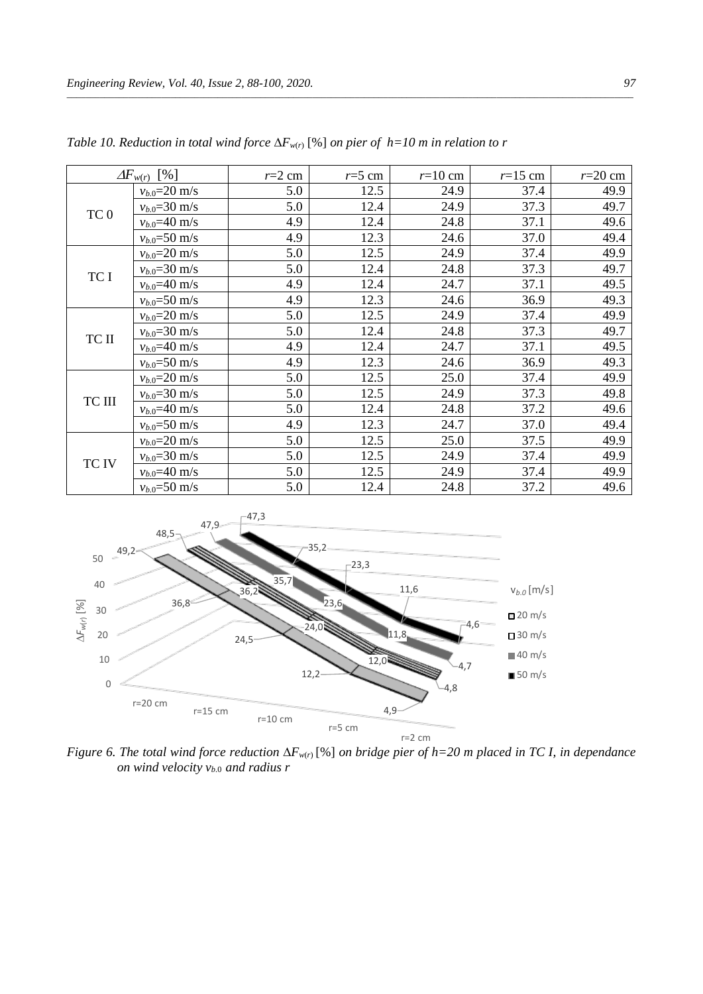|                 | $\Delta F_{w(r)}$<br>$\lceil\% \rceil$ | $r=2$ cm | $r=5$ cm | $r=10$ cm | $r=15$ cm | $r=20$ cm |
|-----------------|----------------------------------------|----------|----------|-----------|-----------|-----------|
|                 | $v_{b.0} = 20$ m/s                     | 5.0      | 12.5     | 24.9      | 37.4      | 49.9      |
| TC <sub>0</sub> | $v_{b.0} = 30$ m/s                     | 5.0      | 12.4     | 24.9      | 37.3      | 49.7      |
|                 | $v_{b.0} = 40$ m/s                     | 4.9      | 12.4     | 24.8      | 37.1      | 49.6      |
|                 | $v_{b.0} = 50$ m/s                     | 4.9      | 12.3     | 24.6      | 37.0      | 49.4      |
|                 | $v_{b.0} = 20$ m/s                     | 5.0      | 12.5     | 24.9      | 37.4      | 49.9      |
| TC I            | $v_{b.0} = 30$ m/s                     | 5.0      | 12.4     | 24.8      | 37.3      | 49.7      |
|                 | $v_{b.0} = 40$ m/s                     | 4.9      | 12.4     | 24.7      | 37.1      | 49.5      |
|                 | $v_{b.0} = 50$ m/s                     | 4.9      | 12.3     | 24.6      | 36.9      | 49.3      |
|                 | $v_{b.0} = 20$ m/s                     | 5.0      | 12.5     | 24.9      | 37.4      | 49.9      |
| TC II           | $v_{b.0} = 30$ m/s                     | 5.0      | 12.4     | 24.8      | 37.3      | 49.7      |
|                 | $v_{b.0} = 40$ m/s                     | 4.9      | 12.4     | 24.7      | 37.1      | 49.5      |
|                 | $v_{b.0} = 50$ m/s                     | 4.9      | 12.3     | 24.6      | 36.9      | 49.3      |
|                 | $v_{b.0} = 20$ m/s                     | 5.0      | 12.5     | 25.0      | 37.4      | 49.9      |
| TC III          | $v_{b.0} = 30$ m/s                     | 5.0      | 12.5     | 24.9      | 37.3      | 49.8      |
|                 | $v_{b.0} = 40$ m/s                     | 5.0      | 12.4     | 24.8      | 37.2      | 49.6      |
|                 | $v_{b.0} = 50$ m/s                     | 4.9      | 12.3     | 24.7      | 37.0      | 49.4      |
|                 | $v_{b.0} = 20$ m/s                     | 5.0      | 12.5     | 25.0      | 37.5      | 49.9      |
| TC IV           | $v_{b.0} = 30$ m/s                     | 5.0      | 12.5     | 24.9      | 37.4      | 49.9      |
|                 | $v_{b.0} = 40$ m/s                     | 5.0      | 12.5     | 24.9      | 37.4      | 49.9      |
|                 | $v_{b.0} = 50$ m/s                     | 5.0      | 12.4     | 24.8      | 37.2      | 49.6      |

*Table 10. Reduction in total wind force* ∆*Fw*(*r*) [%] *on pier of h=10 m in relation to r*



*Figure 6. The total wind force reduction* ∆*Fw*(*r*) [%] *on bridge pier of h=20 m placed in TC I, in dependance on wind velocity*  $v_{b,0}$  *and radius r*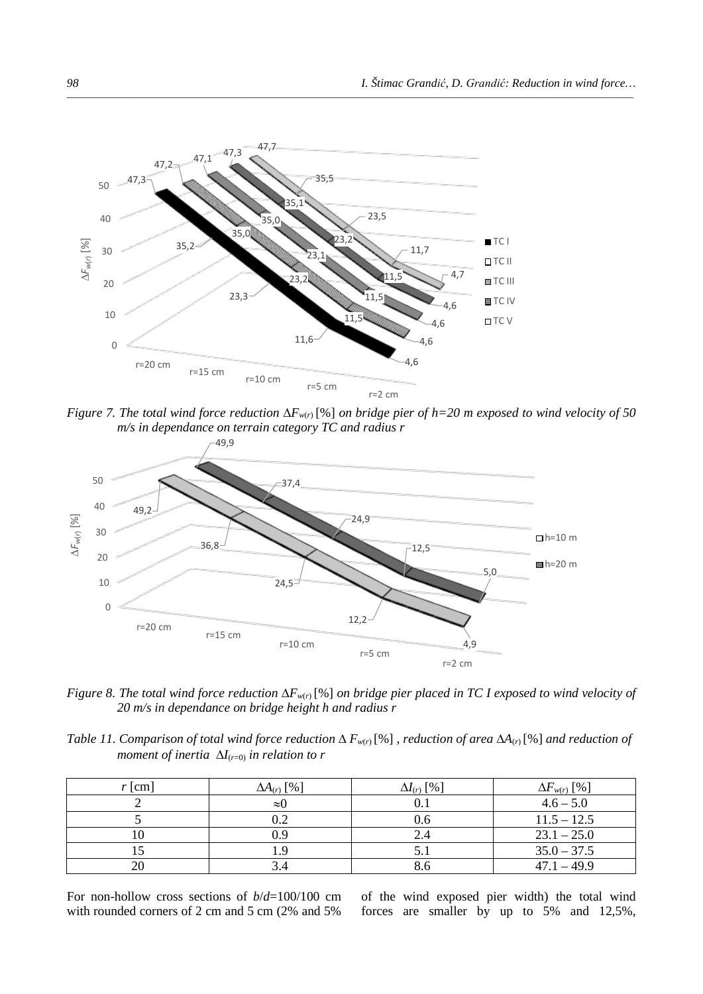

*Figure 7. The total wind force reduction* ∆*Fw*(*r*) [%] *on bridge pier of h=20 m exposed to wind velocity of 50 m/s in dependance on terrain category TC and radius r*



*Figure 8. The total wind force reduction* ∆*Fw*(*r*) [%] *on bridge pier placed in TC I exposed to wind velocity of 20 m/s in dependance on bridge height h and radius r*

*Table 11. Comparison of total wind force reduction*  $\Delta F_{w(r)}$ [%], *reduction of area*  $\Delta A_{(r)}$ [%] *and reduction of moment of inertia*  $\Delta I_{(r=0)}$  *in relation to r* 

| $r$ [cm] | $\Delta A_{(r)}$ [%] | $\Delta I_{(r)}$ [%] | $\Delta F_{w(r)}$ [%] |
|----------|----------------------|----------------------|-----------------------|
|          | $\approx$ ()         |                      | $4.6 - 5.0$           |
|          | $2 \cdot 2$          | 0.6                  | $11.5 - 12.5$         |
|          | 0.9                  |                      | $23.1 - 25.0$         |
|          | .9                   |                      | $35.0 - 37.5$         |
|          |                      |                      | $47.1 - 49.9$         |

For non-hollow cross sections of *b*/*d*=100/100 cm with rounded corners of 2 cm and 5 cm (2% and 5%

of the wind exposed pier width) the total wind forces are smaller by up to 5% and 12,5%,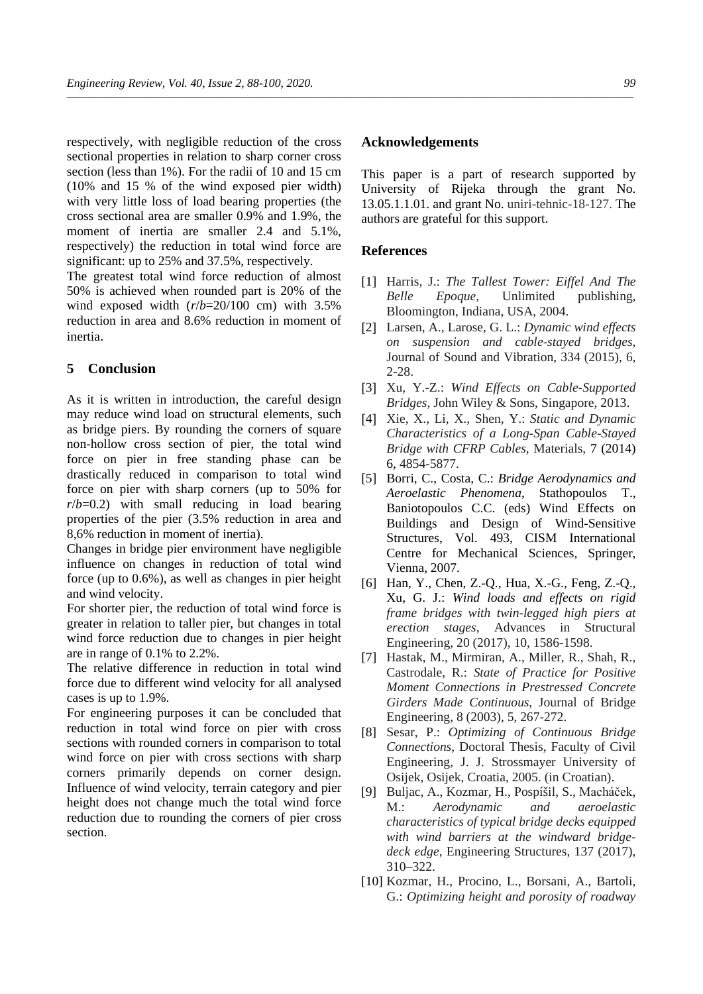respectively, with negligible reduction of the cross sectional properties in relation to sharp corner cross section (less than 1%). For the radii of 10 and 15 cm (10% and 15 % of the wind exposed pier width) with very little loss of load bearing properties (the cross sectional area are smaller 0.9% and 1.9%, the moment of inertia are smaller 2.4 and  $5.1\%$ , respectively) the reduction in total wind force are significant: up to 25% and 37.5%, respectively.

The greatest total wind force reduction of almost 50% is achieved when rounded part is 20% of the wind exposed width (*r*/*b*=20/100 cm) with 3.5% reduction in area and 8.6% reduction in moment of inertia.

# **5 Conclusion**

As it is written in introduction, the careful design may reduce wind load on structural elements, such as bridge piers. By rounding the corners of square non-hollow cross section of pier, the total wind force on pier in free standing phase can be drastically reduced in comparison to total wind force on pier with sharp corners (up to 50% for  $r/b=0.2$ ) with small reducing in load bearing properties of the pier (3.5% reduction in area and 8,6% reduction in moment of inertia).

Changes in bridge pier environment have negligible influence on changes in reduction of total wind force (up to 0.6%), as well as changes in pier height and wind velocity.

For shorter pier, the reduction of total wind force is greater in relation to taller pier, but changes in total wind force reduction due to changes in pier height are in range of 0.1% to 2.2%.

The relative difference in reduction in total wind force due to different wind velocity for all analysed cases is up to 1.9%.

For engineering purposes it can be concluded that reduction in total wind force on pier with cross sections with rounded corners in comparison to total wind force on pier with cross sections with sharp corners primarily depends on corner design. Influence of wind velocity, terrain category and pier height does not change much the total wind force reduction due to rounding the corners of pier cross section.

#### **Acknowledgements**

This paper is a part of research supported by University of Rijeka through the grant No. 13.05.1.1.01. and grant No. uniri-tehnic-18-127. The authors are grateful for this support.

### **References**

- [1] Harris, J.: *The Tallest Tower: Eiffel And The Belle Epoque,* Unlimited publishing, Bloomington, Indiana, USA, 2004.
- [2] Larsen, A., Larose, G. L.: *Dynamic wind effects on suspension and cable-stayed bridges*, Journal of Sound and Vibration, 334 (2015), 6, 2-28.
- [3] Xu, Y.-Z.: *Wind Effects on Cable-Supported Bridges*, John Wiley & Sons, Singapore, 2013.
- [4] Xie, X., Li, X., Shen, Y.: *Static and Dynamic Characteristics of a Long-Span Cable-Stayed Bridge with CFRP Cables*, Materials, 7 (2014) 6, 4854-5877.
- [5] Borri, C., Costa, C.: *Bridge Aerodynamics and Aeroelastic Phenomena*, Stathopoulos T., Baniotopoulos C.C. (eds) Wind Effects on Buildings and Design of Wind-Sensitive Structures, Vol. 493, CISM International Centre for Mechanical Sciences, Springer, Vienna, 2007.
- [6] Han, Y., Chen, Z.-Q., Hua, X.-G., Feng, Z.-Q., Xu, G. J.: *Wind loads and effects on rigid frame bridges with twin-legged high piers at erection stages*, Advances in Structural Engineering, 20 (2017), 10, 1586-1598.
- [7] Hastak, M., Mirmiran, A., Miller, R., Shah, R., Castrodale, R.: *State of Practice for Positive Moment Connections in Prestressed Concrete Girders Made Continuous*, Journal of Bridge Engineering, 8 (2003), 5, 267-272.
- [8] Sesar, P.: *Optimizing of Continuous Bridge Connections*, Doctoral Thesis, Faculty of Civil Engineering, J. J. Strossmayer University of Osijek, Osijek, Croatia, 2005. (in Croatian).
- [9] Buljac, A., Kozmar, H., Pospíšil, S., Macháček, M.: *Aerodynamic and aeroelastic characteristics of typical bridge decks equipped with wind barriers at the windward bridgedeck edge*, Engineering Structures, 137 (2017), 310–322.
- [10] Kozmar, H., Procino, L., Borsani, A., Bartoli, G.: *Optimizing height and porosity of roadway*